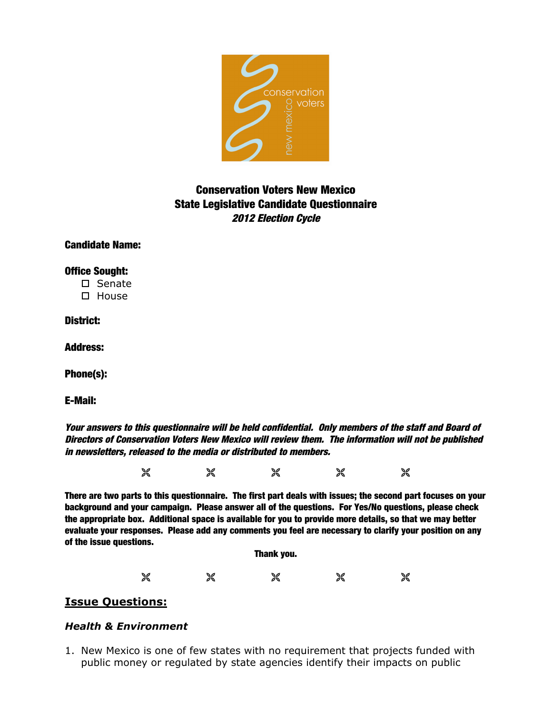

# Conservation Voters New Mexico State Legislative Candidate Questionnaire 2012 Election Cycle

### Candidate Name:

### Office Sought:

- $\square$  Senate
- □ House

#### District:

#### Address:

Phone(s):

#### E-Mail:

Your answers to this questionnaire will be held confidential. Only members of the staff and Board of Directors of Conservation Voters New Mexico will review them. The information will not be published in newsletters, released to the media or distributed to members.

 $\begin{matrix} \times & \times & \times \end{matrix}$ 

There are two parts to this questionnaire. The first part deals with issues; the second part focuses on your background and your campaign. Please answer all of the questions. For Yes/No questions, please check the appropriate box. Additional space is available for you to provide more details, so that we may better evaluate your responses. Please add any comments you feel are necessary to clarify your position on any of the issue questions.

| Thank you. |         |         |         |   |
|------------|---------|---------|---------|---|
| ※          | v<br>Õ١ | v<br>Õ١ | v<br>Õ١ | ※ |

# **Issue Questions:**

## *Health & Environment*

1. New Mexico is one of few states with no requirement that projects funded with public money or regulated by state agencies identify their impacts on public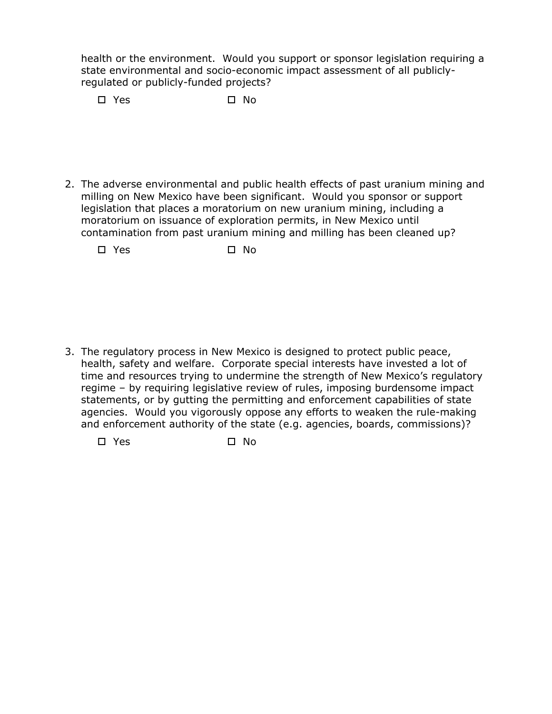health or the environment. Would you support or sponsor legislation requiring a state environmental and socio-economic impact assessment of all publiclyregulated or publicly-funded projects?

 $\square$  Yes  $\square$  No

2. The adverse environmental and public health effects of past uranium mining and milling on New Mexico have been significant. Would you sponsor or support legislation that places a moratorium on new uranium mining, including a moratorium on issuance of exploration permits, in New Mexico until contamination from past uranium mining and milling has been cleaned up?

 $\square$  Yes  $\square$  No

3. The regulatory process in New Mexico is designed to protect public peace, health, safety and welfare. Corporate special interests have invested a lot of time and resources trying to undermine the strength of New Mexico's regulatory regime – by requiring legislative review of rules, imposing burdensome impact statements, or by gutting the permitting and enforcement capabilities of state agencies. Would you vigorously oppose any efforts to weaken the rule-making and enforcement authority of the state (e.g. agencies, boards, commissions)?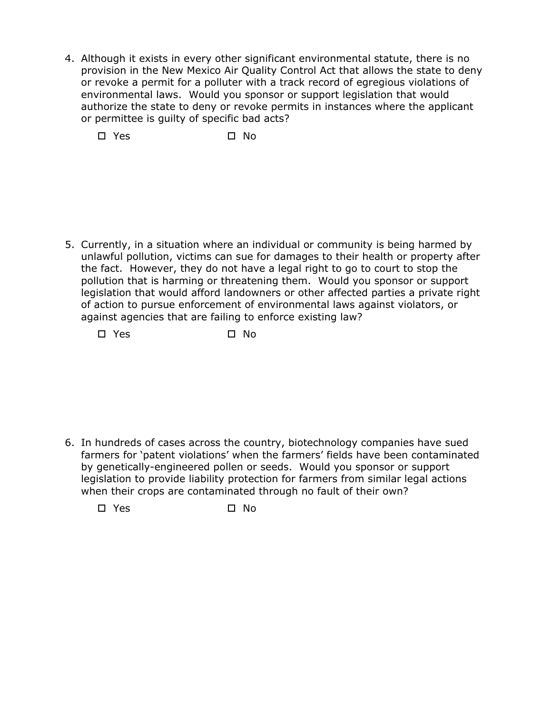4. Although it exists in every other significant environmental statute, there is no provision in the New Mexico Air Quality Control Act that allows the state to deny or revoke a permit for a polluter with a track record of egregious violations of environmental laws. Would you sponsor or support legislation that would authorize the state to deny or revoke permits in instances where the applicant or permittee is guilty of specific bad acts?

 $\Box$  Yes  $\Box$  No

5. Currently, in a situation where an individual or community is being harmed by unlawful pollution, victims can sue for damages to their health or property after the fact. However, they do not have a legal right to go to court to stop the pollution that is harming or threatening them. Would you sponsor or support legislation that would afford landowners or other affected parties a private right of action to pursue enforcement of environmental laws against violators, or against agencies that are failing to enforce existing law?

 $\square$  Yes  $\square$  No

6. In hundreds of cases across the country, biotechnology companies have sued farmers for 'patent violations' when the farmers' fields have been contaminated by genetically-engineered pollen or seeds. Would you sponsor or support legislation to provide liability protection for farmers from similar legal actions when their crops are contaminated through no fault of their own?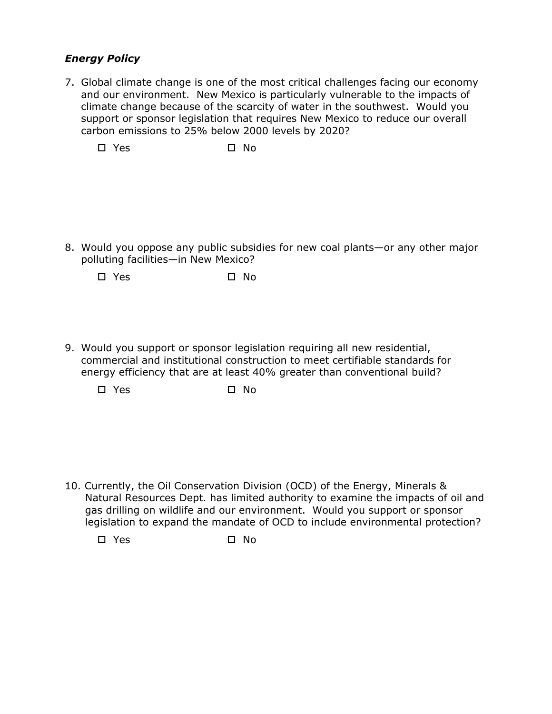## *Energy Policy*

7. Global climate change is one of the most critical challenges facing our economy and our environment. New Mexico is particularly vulnerable to the impacts of climate change because of the scarcity of water in the southwest. Would you support or sponsor legislation that requires New Mexico to reduce our overall carbon emissions to 25% below 2000 levels by 2020?

- 8. Would you oppose any public subsidies for new coal plants—or any other major polluting facilities—in New Mexico?
	- $\square$  Yes  $\square$  No
- 9. Would you support or sponsor legislation requiring all new residential, commercial and institutional construction to meet certifiable standards for energy efficiency that are at least 40% greater than conventional build?
	- $\square$  Yes  $\square$  No

- 10. Currently, the Oil Conservation Division (OCD) of the Energy, Minerals & Natural Resources Dept. has limited authority to examine the impacts of oil and gas drilling on wildlife and our environment. Would you support or sponsor legislation to expand the mandate of OCD to include environmental protection?
	- $\square$  Yes  $\square$  No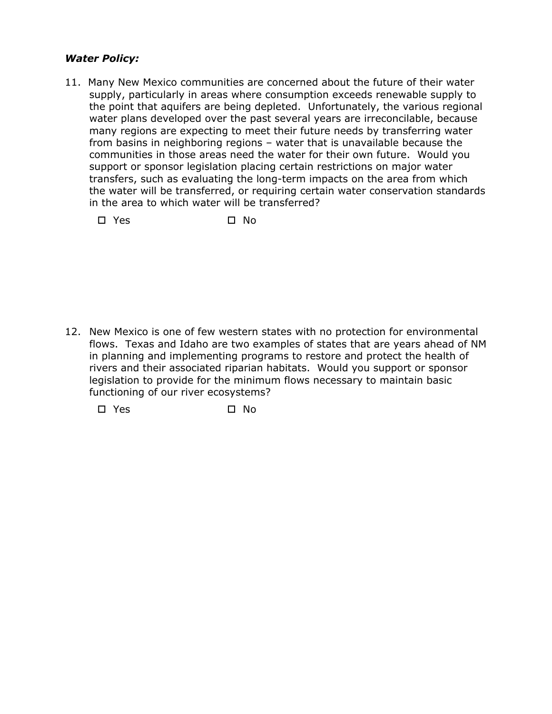## *Water Policy:*

11. Many New Mexico communities are concerned about the future of their water supply, particularly in areas where consumption exceeds renewable supply to the point that aquifers are being depleted. Unfortunately, the various regional water plans developed over the past several years are irreconcilable, because many regions are expecting to meet their future needs by transferring water from basins in neighboring regions – water that is unavailable because the communities in those areas need the water for their own future. Would you support or sponsor legislation placing certain restrictions on major water transfers, such as evaluating the long-term impacts on the area from which the water will be transferred, or requiring certain water conservation standards in the area to which water will be transferred?

 $\Box$  Yes  $\Box$  No.

12. New Mexico is one of few western states with no protection for environmental flows. Texas and Idaho are two examples of states that are years ahead of NM in planning and implementing programs to restore and protect the health of rivers and their associated riparian habitats. Would you support or sponsor legislation to provide for the minimum flows necessary to maintain basic functioning of our river ecosystems?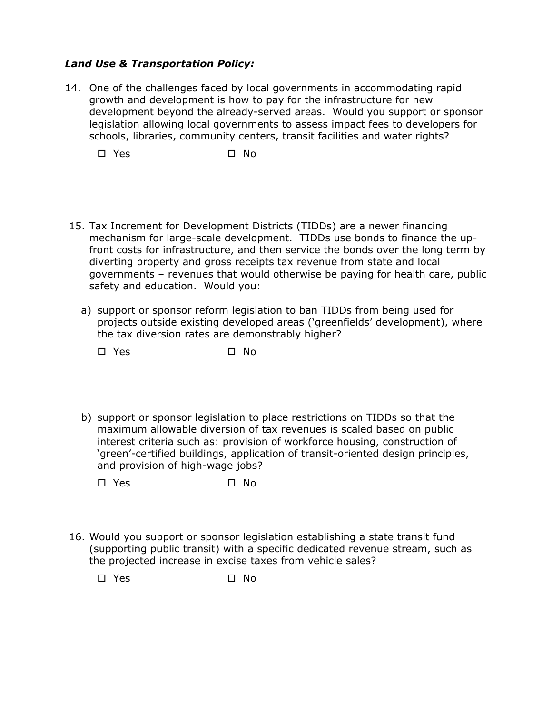## *Land Use & Transportation Policy:*

14. One of the challenges faced by local governments in accommodating rapid growth and development is how to pay for the infrastructure for new development beyond the already-served areas. Would you support or sponsor legislation allowing local governments to assess impact fees to developers for schools, libraries, community centers, transit facilities and water rights?

 $\square$  Yes  $\square$  No

- 15. Tax Increment for Development Districts (TIDDs) are a newer financing mechanism for large-scale development. TIDDs use bonds to finance the upfront costs for infrastructure, and then service the bonds over the long term by diverting property and gross receipts tax revenue from state and local governments – revenues that would otherwise be paying for health care, public safety and education. Would you:
	- a) support or sponsor reform legislation to ban TIDDs from being used for projects outside existing developed areas ('greenfields' development), where the tax diversion rates are demonstrably higher?

 $\square$  Yes  $\square$  No

b) support or sponsor legislation to place restrictions on TIDDs so that the maximum allowable diversion of tax revenues is scaled based on public interest criteria such as: provision of workforce housing, construction of 'green'-certified buildings, application of transit-oriented design principles, and provision of high-wage jobs?

 $\square$  Yes  $\square$  No

16. Would you support or sponsor legislation establishing a state transit fund (supporting public transit) with a specific dedicated revenue stream, such as the projected increase in excise taxes from vehicle sales?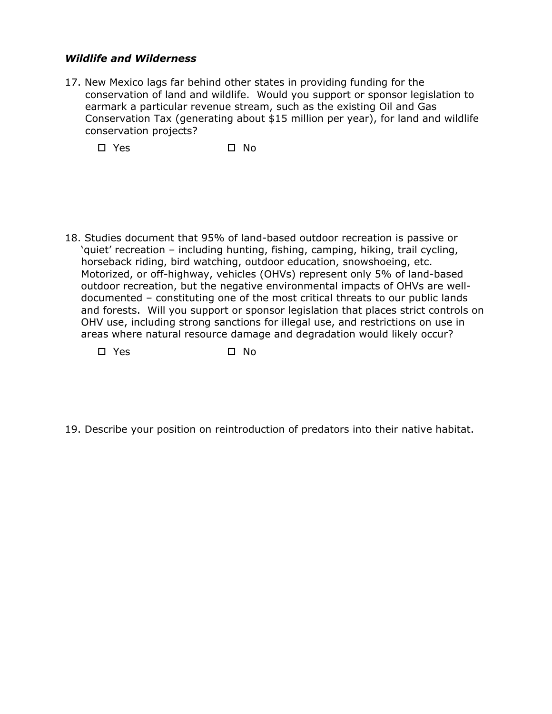### *Wildlife and Wilderness*

17. New Mexico lags far behind other states in providing funding for the conservation of land and wildlife. Would you support or sponsor legislation to earmark a particular revenue stream, such as the existing Oil and Gas Conservation Tax (generating about \$15 million per year), for land and wildlife conservation projects?

 $\square$  Yes  $\square$  No

18. Studies document that 95% of land-based outdoor recreation is passive or 'quiet' recreation – including hunting, fishing, camping, hiking, trail cycling, horseback riding, bird watching, outdoor education, snowshoeing, etc. Motorized, or off-highway, vehicles (OHVs) represent only 5% of land-based outdoor recreation, but the negative environmental impacts of OHVs are welldocumented – constituting one of the most critical threats to our public lands and forests. Will you support or sponsor legislation that places strict controls on OHV use, including strong sanctions for illegal use, and restrictions on use in areas where natural resource damage and degradation would likely occur?

 $\square$  Yes  $\square$  No

19. Describe your position on reintroduction of predators into their native habitat.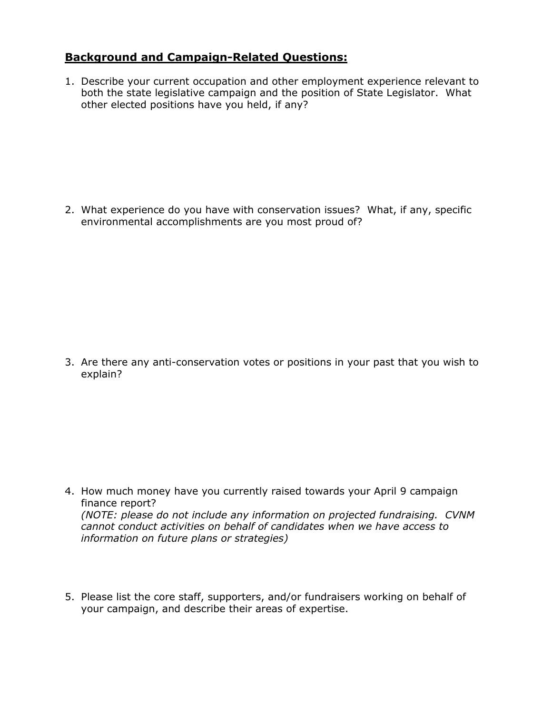## **Background and Campaign-Related Questions:**

1. Describe your current occupation and other employment experience relevant to both the state legislative campaign and the position of State Legislator. What other elected positions have you held, if any?

2. What experience do you have with conservation issues? What, if any, specific environmental accomplishments are you most proud of?

3. Are there any anti-conservation votes or positions in your past that you wish to explain?

- 4. How much money have you currently raised towards your April 9 campaign finance report? *(NOTE: please do not include any information on projected fundraising. CVNM cannot conduct activities on behalf of candidates when we have access to information on future plans or strategies)*
- 5. Please list the core staff, supporters, and/or fundraisers working on behalf of your campaign, and describe their areas of expertise.